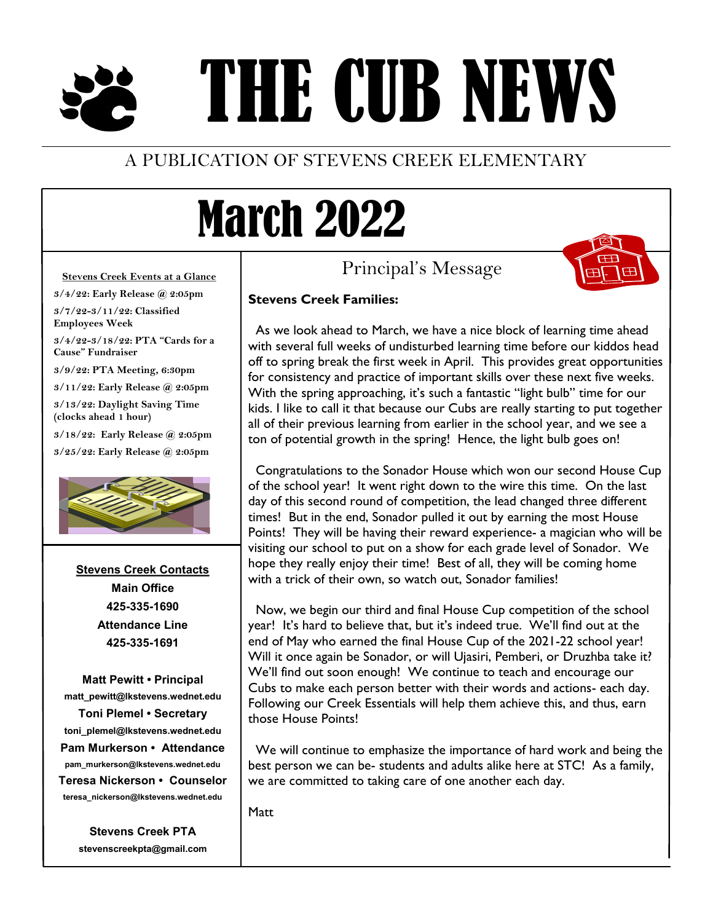# THE CUB NEWS

### A PUBLICATION OF STEVENS CREEK ELEMENTARY

### March 2022

Principal's Message



#### **Stevens Creek Events at a Glance**

**3/4/22: Early Release @ 2:05pm**

**3/7/22-3/11/22: Classified Employees Week**

**3/4/22-3/18/22: PTA "Cards for a Cause" Fundraiser**

**3/9/22: PTA Meeting, 6:30pm**

**3/11/22: Early Release @ 2:05pm**

**3/13/22: Daylight Saving Time (clocks ahead 1 hour)**

**3/18/22: Early Release @ 2:05pm**

**3/25/22: Early Release @ 2:05pm**



**Stevens Creek Contacts Main Office 425-335-1690 Attendance Line 425-335-1691**

**Matt Pewitt • Principal matt\_pewitt@lkstevens.wednet.edu Toni Plemel • Secretary toni\_plemel@lkstevens.wednet.edu Pam Murkerson • Attendance pam\_murkerson@lkstevens.wednet.edu Teresa Nickerson • Counselor teresa\_nickerson@lkstevens.wednet.edu**

> **Stevens Creek PTA stevenscreekpta@gmail.com**

#### **Stevens Creek Families:**

 As we look ahead to March, we have a nice block of learning time ahead with several full weeks of undisturbed learning time before our kiddos head off to spring break the first week in April. This provides great opportunities for consistency and practice of important skills over these next five weeks. With the spring approaching, it's such a fantastic "light bulb" time for our kids. I like to call it that because our Cubs are really starting to put together all of their previous learning from earlier in the school year, and we see a ton of potential growth in the spring! Hence, the light bulb goes on!

Congratulations to the Sonador House which won our second House Cup of the school year! It went right down to the wire this time. On the last day of this second round of competition, the lead changed three different times! But in the end, Sonador pulled it out by earning the most House Points! They will be having their reward experience- a magician who will be visiting our school to put on a show for each grade level of Sonador. We hope they really enjoy their time! Best of all, they will be coming home with a trick of their own, so watch out, Sonador families!

Now, we begin our third and final House Cup competition of the school year! It's hard to believe that, but it's indeed true. We'll find out at the end of May who earned the final House Cup of the 2021-22 school year! Will it once again be Sonador, or will Ujasiri, Pemberi, or Druzhba take it? We'll find out soon enough! We continue to teach and encourage our Cubs to make each person better with their words and actions- each day. Following our Creek Essentials will help them achieve this, and thus, earn those House Points!

We will continue to emphasize the importance of hard work and being the best person we can be- students and adults alike here at STC! As a family, we are committed to taking care of one another each day.

Matt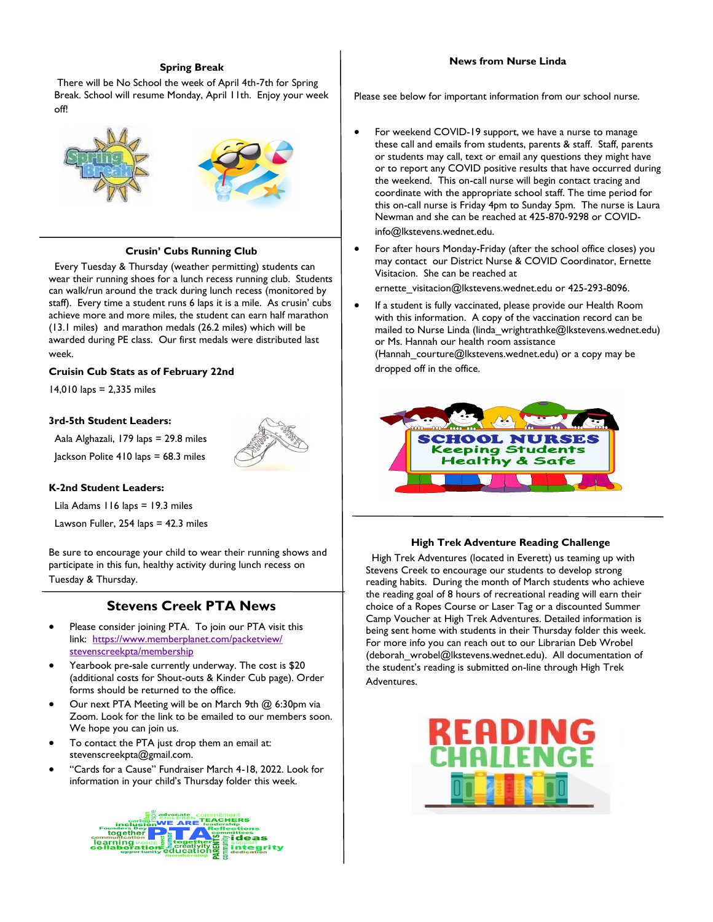#### **Spring Break**

There will be No School the week of April 4th-7th for Spring Break. School will resume Monday, April 11th. Enjoy your week off!



#### **Crusin' Cubs Running Club**

 Every Tuesday & Thursday (weather permitting) students can wear their running shoes for a lunch recess running club. Students can walk/run around the track during lunch recess (monitored by staff). Every time a student runs 6 laps it is a mile. As crusin' cubs achieve more and more miles, the student can earn half marathon (13.1 miles) and marathon medals (26.2 miles) which will be awarded during PE class. Our first medals were distributed last week.

#### **Cruisin Cub Stats as of February 22nd**

14,010 laps = 2,335 miles

#### **3rd-5th Student Leaders:**

Aala Alghazali, 179 laps = 29.8 miles Jackson Polite 410 laps = 68.3 miles



Lila Adams 116 laps = 19.3 miles

Lawson Fuller,  $254$  laps =  $42.3$  miles

Be sure to encourage your child to wear their running shows and participate in this fun, healthy activity during lunch recess on Tuesday & Thursday.

#### **Stevens Creek PTA News**

- Please consider joining PTA. To join our PTA visit this link: [https://www.memberplanet.com/packetview/](https://www.memberplanet.com/packetview/stevenscreekpta/membership) [stevenscreekpta/membership](https://www.memberplanet.com/packetview/stevenscreekpta/membership)
- Yearbook pre-sale currently underway. The cost is \$20 (additional costs for Shout-outs & Kinder Cub page). Order forms should be returned to the office.
- Our next PTA Meeting will be on March 9th @ 6:30pm via Zoom. Look for the link to be emailed to our members soon. We hope you can join us.
- To contact the PTA just drop them an email at: stevenscreekpta@gmail.com.
- "Cards for a Cause" Fundraiser March 4-18, 2022. Look for information in your child's Thursday folder this week.



#### **News from Nurse Linda**

Please see below for important information from our school nurse.

- For weekend COVID-19 support, we have a nurse to manage these call and emails from students, parents & staff. Staff, parents or students may call, text or email any questions they might have or to report any COVID positive results that have occurred during the weekend. This on-call nurse will begin contact tracing and coordinate with the appropriate school staff. The time period for this on-call nurse is Friday 4pm to Sunday 5pm. The nurse is Laura Newman and she can be reached at 425-870-9298 or COVIDinfo@lkstevens.wednet.edu.
- For after hours Monday-Friday (after the school office closes) you may contact our District Nurse & COVID Coordinator, Ernette Visitacion. She can be reached at
	- ernette\_visitacion@lkstevens.wednet.edu or 425-293-8096.
- If a student is fully vaccinated, please provide our Health Room with this information. A copy of the vaccination record can be mailed to Nurse Linda (linda\_wrightrathke@lkstevens.wednet.edu) or Ms. Hannah our health room assistance (Hannah courture@lkstevens.wednet.edu) or a copy may be dropped off in the office.



#### **High Trek Adventure Reading Challenge**

 High Trek Adventures (located in Everett) us teaming up with Stevens Creek to encourage our students to develop strong reading habits. During the month of March students who achieve the reading goal of 8 hours of recreational reading will earn their choice of a Ropes Course or Laser Tag or a discounted Summer Camp Voucher at High Trek Adventures. Detailed information is being sent home with students in their Thursday folder this week. For more info you can reach out to our Librarian Deb Wrobel (deborah\_wrobel@lkstevens.wednet.edu). All documentation of the student's reading is submitted on-line through High Trek Adventures.